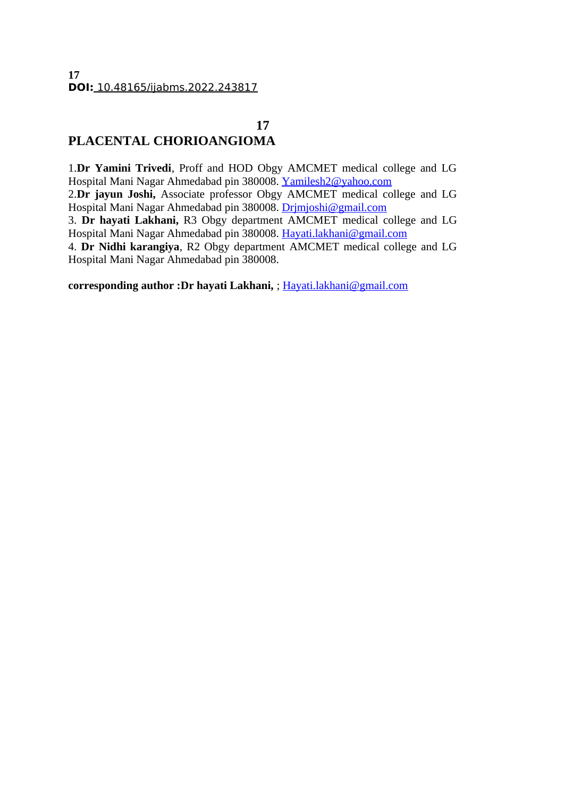# **17 PLACENTAL CHORIOANGIOMA**

1.**Dr Yamini Trivedi**, Proff and HOD Obgy AMCMET medical college and LG Hospital Mani Nagar Ahmedabad pin 380008. [Yamilesh2@yahoo.com](mailto:Yamilesh2@yahoo.com) 2.**Dr jayun Joshi,** Associate professor Obgy AMCMET medical college and LG Hospital Mani Nagar Ahmedabad pin 380008. [Drjmjoshi@gmail.com](mailto:Drjmjoshi@gmail.com) 3. **Dr hayati Lakhani,** R3 Obgy department AMCMET medical college and LG Hospital Mani Nagar Ahmedabad pin 380008. [Hayati.lakhani@gmail.com](mailto:Hayati.lakhani@gmail.com) 4. **Dr Nidhi karangiya**, R2 Obgy department AMCMET medical college and LG Hospital Mani Nagar Ahmedabad pin 380008.

**corresponding author :Dr hayati Lakhani,** ; [Hayati.lakhani@gmail.com](mailto:Hayati.lakhani@gmail.com)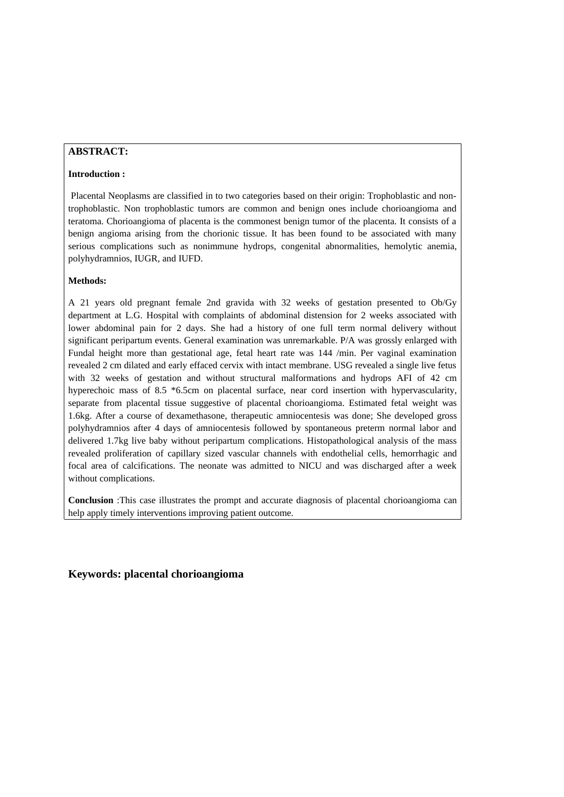#### **ABSTRACT:**

#### **Introduction :**

 Placental Neoplasms are classified in to two categories based on their origin: Trophoblastic and nontrophoblastic. Non trophoblastic tumors are common and benign ones include chorioangioma and teratoma. Chorioangioma of placenta is the commonest benign tumor of the placenta. It consists of a benign angioma arising from the chorionic tissue. It has been found to be associated with many serious complications such as nonimmune hydrops, congenital abnormalities, hemolytic anemia, polyhydramnios, IUGR, and IUFD.

#### **Methods:**

A 21 years old pregnant female 2nd gravida with 32 weeks of gestation presented to Ob/Gy department at L.G. Hospital with complaints of abdominal distension for 2 weeks associated with lower abdominal pain for 2 days. She had a history of one full term normal delivery without significant peripartum events. General examination was unremarkable. P/A was grossly enlarged with Fundal height more than gestational age, fetal heart rate was 144 /min. Per vaginal examination revealed 2 cm dilated and early effaced cervix with intact membrane. USG revealed a single live fetus with 32 weeks of gestation and without structural malformations and hydrops AFI of 42 cm hyperechoic mass of 8.5 \*6.5cm on placental surface, near cord insertion with hypervascularity, separate from placental tissue suggestive of placental chorioangioma. Estimated fetal weight was 1.6kg. After a course of dexamethasone, therapeutic amniocentesis was done; She developed gross polyhydramnios after 4 days of amniocentesis followed by spontaneous preterm normal labor and delivered 1.7kg live baby without peripartum complications. Histopathological analysis of the mass revealed proliferation of capillary sized vascular channels with endothelial cells, hemorrhagic and focal area of calcifications. The neonate was admitted to NICU and was discharged after a week without complications.

**Conclusion** :This case illustrates the prompt and accurate diagnosis of placental chorioangioma can help apply timely interventions improving patient outcome.

**Keywords: placental chorioangioma**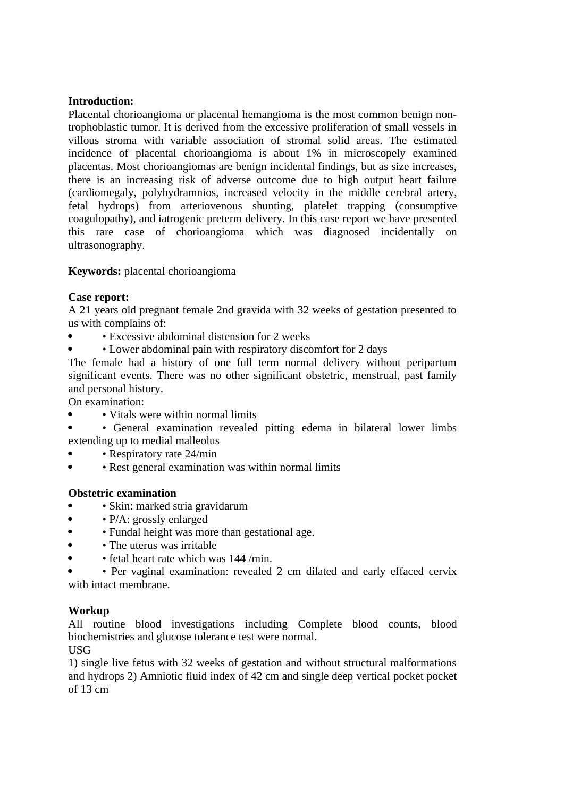## **Introduction:**

Placental chorioangioma or placental hemangioma is the most common benign nontrophoblastic tumor. It is derived from the excessive proliferation of small vessels in villous stroma with variable association of stromal solid areas. The estimated incidence of placental chorioangioma is about 1% in microscopely examined placentas. Most chorioangiomas are benign incidental findings, but as size increases, there is an increasing risk of adverse outcome due to high output heart failure (cardiomegaly, polyhydramnios, increased velocity in the middle cerebral artery, fetal hydrops) from arteriovenous shunting, platelet trapping (consumptive coagulopathy), and iatrogenic preterm delivery. In this case report we have presented this rare case of chorioangioma which was diagnosed incidentally on ultrasonography.

**Keywords:** placental chorioangioma

## **Case report:**

A 21 years old pregnant female 2nd gravida with 32 weeks of gestation presented to us with complains of:

- Excessive abdominal distension for 2 weeks
- Lower abdominal pain with respiratory discomfort for 2 days

The female had a history of one full term normal delivery without peripartum significant events. There was no other significant obstetric, menstrual, past family and personal history.

On examination:

- Vitals were within normal limits
- General examination revealed pitting edema in bilateral lower limbs extending up to medial malleolus
- Respiratory rate 24/min
- Rest general examination was within normal limits

## **Obstetric examination**

- Skin: marked stria gravidarum
- • P/A: grossly enlarged
- Fundal height was more than gestational age.
- The uterus was irritable
- fetal heart rate which was 144 /min.

 • Per vaginal examination: revealed 2 cm dilated and early effaced cervix with intact membrane.

#### **Workup**

All routine blood investigations including Complete blood counts, blood biochemistries and glucose tolerance test were normal.

USG

1) single live fetus with 32 weeks of gestation and without structural malformations and hydrops 2) Amniotic fluid index of 42 cm and single deep vertical pocket pocket of 13 cm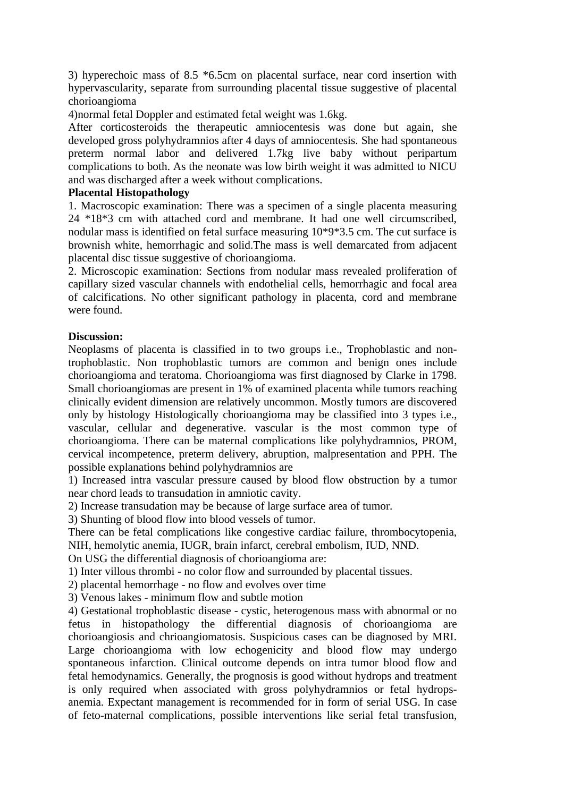3) hyperechoic mass of 8.5 \*6.5cm on placental surface, near cord insertion with hypervascularity, separate from surrounding placental tissue suggestive of placental chorioangioma

4)normal fetal Doppler and estimated fetal weight was 1.6kg.

After corticosteroids the therapeutic amniocentesis was done but again, she developed gross polyhydramnios after 4 days of amniocentesis. She had spontaneous preterm normal labor and delivered 1.7kg live baby without peripartum complications to both. As the neonate was low birth weight it was admitted to NICU and was discharged after a week without complications.

### **Placental Histopathology**

1. Macroscopic examination: There was a specimen of a single placenta measuring 24 \*18\*3 cm with attached cord and membrane. It had one well circumscribed, nodular mass is identified on fetal surface measuring 10\*9\*3.5 cm. The cut surface is brownish white, hemorrhagic and solid.The mass is well demarcated from adjacent placental disc tissue suggestive of chorioangioma.

2. Microscopic examination: Sections from nodular mass revealed proliferation of capillary sized vascular channels with endothelial cells, hemorrhagic and focal area of calcifications. No other significant pathology in placenta, cord and membrane were found.

## **Discussion:**

Neoplasms of placenta is classified in to two groups i.e., Trophoblastic and nontrophoblastic. Non trophoblastic tumors are common and benign ones include chorioangioma and teratoma. Chorioangioma was first diagnosed by Clarke in 1798. Small chorioangiomas are present in 1% of examined placenta while tumors reaching clinically evident dimension are relatively uncommon. Mostly tumors are discovered only by histology Histologically chorioangioma may be classified into 3 types i.e., vascular, cellular and degenerative. vascular is the most common type of chorioangioma. There can be maternal complications like polyhydramnios, PROM, cervical incompetence, preterm delivery, abruption, malpresentation and PPH. The possible explanations behind polyhydramnios are

1) Increased intra vascular pressure caused by blood flow obstruction by a tumor near chord leads to transudation in amniotic cavity.

2) Increase transudation may be because of large surface area of tumor.

3) Shunting of blood flow into blood vessels of tumor.

There can be fetal complications like congestive cardiac failure, thrombocytopenia, NIH, hemolytic anemia, IUGR, brain infarct, cerebral embolism, IUD, NND.

On USG the differential diagnosis of chorioangioma are:

1) Inter villous thrombi - no color flow and surrounded by placental tissues.

2) placental hemorrhage - no flow and evolves over time

3) Venous lakes - minimum flow and subtle motion

4) Gestational trophoblastic disease - cystic, heterogenous mass with abnormal or no fetus in histopathology the differential diagnosis of chorioangioma are chorioangiosis and chrioangiomatosis. Suspicious cases can be diagnosed by MRI. Large chorioangioma with low echogenicity and blood flow may undergo spontaneous infarction. Clinical outcome depends on intra tumor blood flow and fetal hemodynamics. Generally, the prognosis is good without hydrops and treatment is only required when associated with gross polyhydramnios or fetal hydropsanemia. Expectant management is recommended for in form of serial USG. In case of feto-maternal complications, possible interventions like serial fetal transfusion,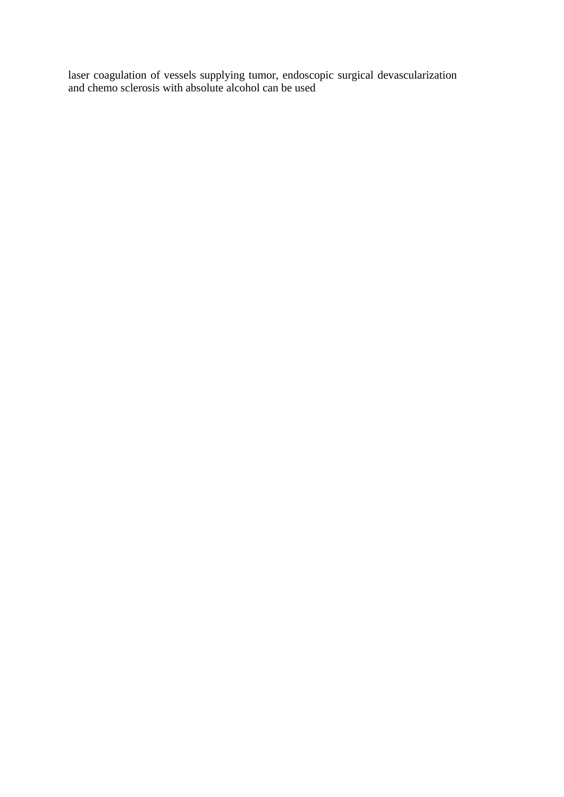laser coagulation of vessels supplying tumor, endoscopic surgical devascularization and chemo sclerosis with absolute alcohol can be used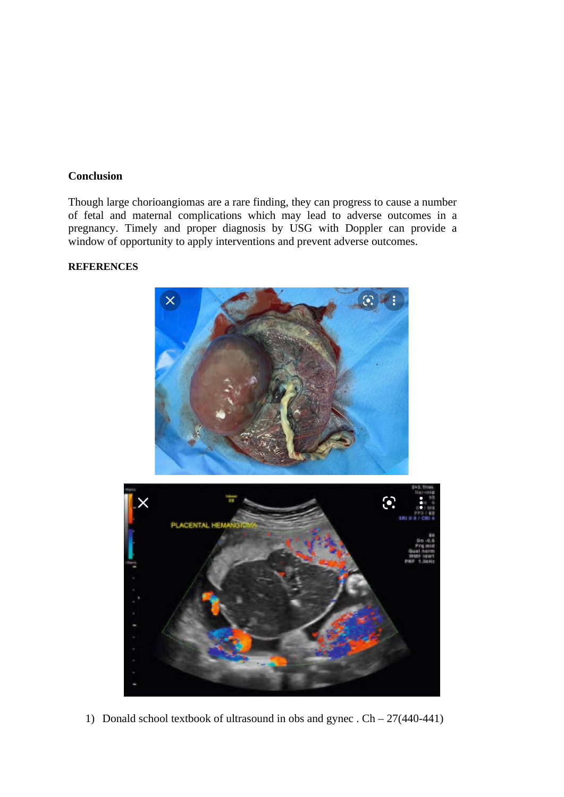## **Conclusion**

Though large chorioangiomas are a rare finding, they can progress to cause a number of fetal and maternal complications which may lead to adverse outcomes in a pregnancy. Timely and proper diagnosis by USG with Doppler can provide a window of opportunity to apply interventions and prevent adverse outcomes.

## **REFERENCES**



1) Donald school textbook of ultrasound in obs and gynec . Ch – 27(440-441)